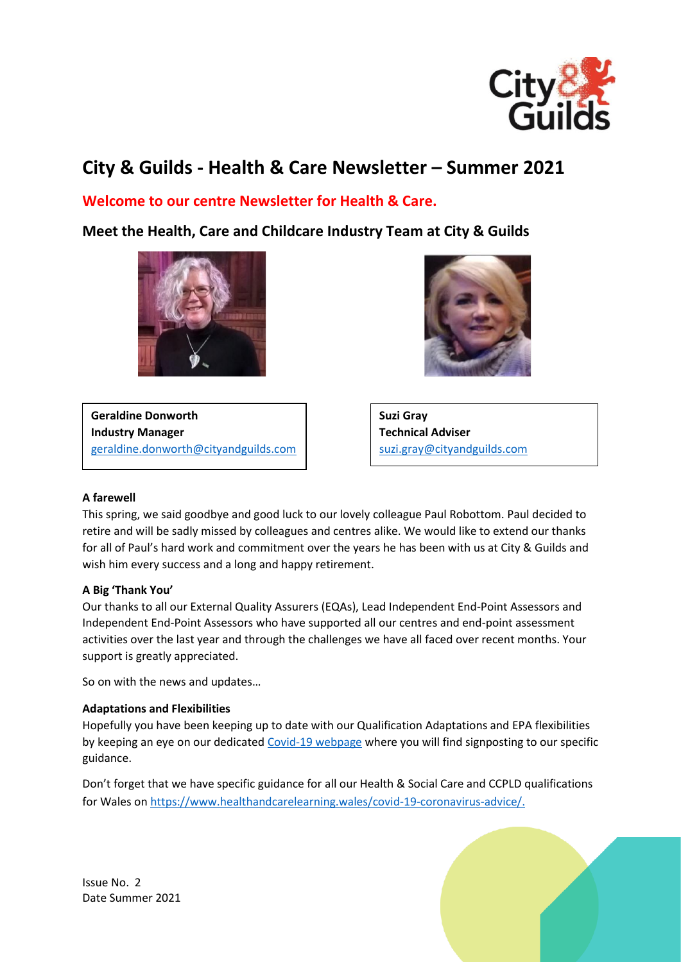

# **City & Guilds - Health & Care Newsletter – Summer 2021**

## **Welcome to our centre Newsletter for Health & Care.**

**Meet the Health, Care and Childcare Industry Team at City & Guilds**





**Geraldine Donworth Industry Manager** [geraldine.donworth@cityandguilds.com](mailto:geraldine.donworth@cityandguilds.com) **Suzi Gray Technical Adviser** [suzi.gray@cityandguilds.com](mailto:suzi.gray@cityandguilds.com)

#### **A farewell**

This spring, we said goodbye and good luck to our lovely colleague Paul Robottom. Paul decided to retire and will be sadly missed by colleagues and centres alike. We would like to extend our thanks for all of Paul's hard work and commitment over the years he has been with us at City & Guilds and wish him every success and a long and happy retirement.

## **A Big 'Thank You'**

Our thanks to all our External Quality Assurers (EQAs), Lead Independent End-Point Assessors and Independent End-Point Assessors who have supported all our centres and end-point assessment activities over the last year and through the challenges we have all faced over recent months. Your support is greatly appreciated.

So on with the news and updates…

## **Adaptations and Flexibilities**

Hopefully you have been keeping up to date with our Qualification Adaptations and EPA flexibilities by keeping an eye on our dedicated [Covid-19 webpage](https://www.cityandguilds.com/covid-19) where you will find signposting to our specific guidance.

Don't forget that we have specific guidance for all our Health & Social Care and CCPLD qualifications for Wales on [https://www.healthandcarelearning.wales/covid-19-coronavirus-advice/.](https://www.healthandcarelearning.wales/covid-19-coronavirus-advice/)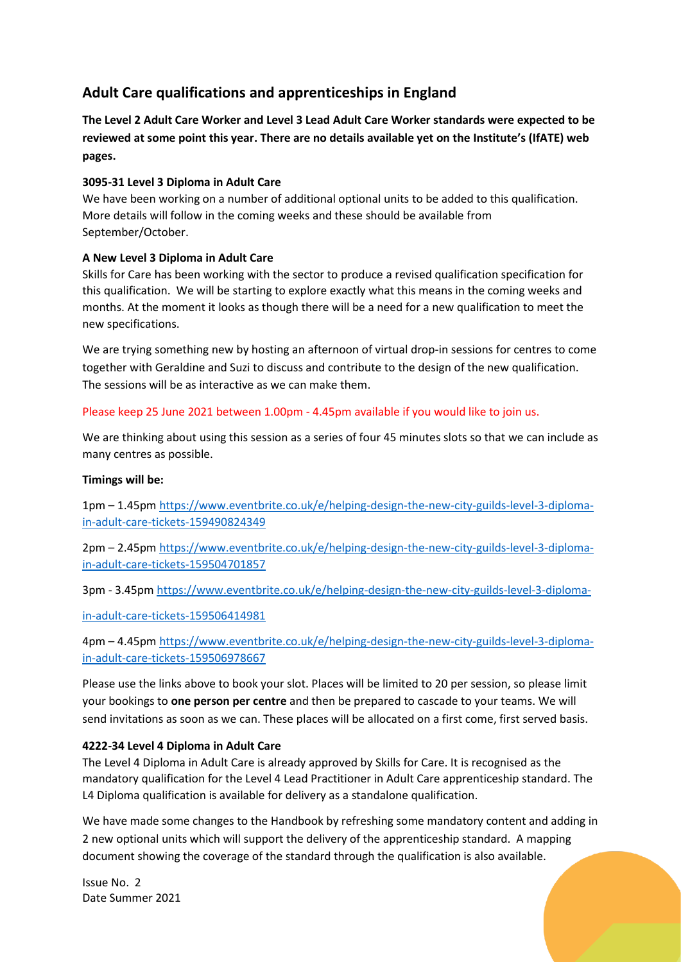## **Adult Care qualifications and apprenticeships in England**

**The Level 2 Adult Care Worker and Level 3 Lead Adult Care Worker standards were expected to be reviewed at some point this year. There are no details available yet on the Institute's (IfATE) web pages.**

## **3095-31 Level 3 Diploma in Adult Care**

We have been working on a number of additional optional units to be added to this qualification. More details will follow in the coming weeks and these should be available from September/October.

## **A New Level 3 Diploma in Adult Care**

Skills for Care has been working with the sector to produce a revised qualification specification for this qualification. We will be starting to explore exactly what this means in the coming weeks and months. At the moment it looks as though there will be a need for a new qualification to meet the new specifications.

We are trying something new by hosting an afternoon of virtual drop-in sessions for centres to come together with Geraldine and Suzi to discuss and contribute to the design of the new qualification. The sessions will be as interactive as we can make them.

## Please keep 25 June 2021 between 1.00pm - 4.45pm available if you would like to join us.

We are thinking about using this session as a series of four 45 minutes slots so that we can include as many centres as possible.

## **Timings will be:**

1pm – 1.45pm [https://www.eventbrite.co.uk/e/helping-design-the-new-city-guilds-level-3-diploma](https://www.eventbrite.co.uk/e/helping-design-the-new-city-guilds-level-3-diploma-in-adult-care-tickets-159490824349)[in-adult-care-tickets-159490824349](https://www.eventbrite.co.uk/e/helping-design-the-new-city-guilds-level-3-diploma-in-adult-care-tickets-159490824349)

2pm – 2.45pm [https://www.eventbrite.co.uk/e/helping-design-the-new-city-guilds-level-3-diploma](https://www.eventbrite.co.uk/e/helping-design-the-new-city-guilds-level-3-diploma-in-adult-care-tickets-159504701857)[in-adult-care-tickets-159504701857](https://www.eventbrite.co.uk/e/helping-design-the-new-city-guilds-level-3-diploma-in-adult-care-tickets-159504701857)

3pm - 3.45pm [https://www.eventbrite.co.uk/e/helping-design-the-new-city-guilds-level-3-diploma-](https://www.eventbrite.co.uk/e/helping-design-the-new-city-guilds-level-3-diploma-in-adult-care-tickets-159506414981)

[in-adult-care-tickets-159506414981](https://www.eventbrite.co.uk/e/helping-design-the-new-city-guilds-level-3-diploma-in-adult-care-tickets-159506414981)

4pm – 4.45pm [https://www.eventbrite.co.uk/e/helping-design-the-new-city-guilds-level-3-diploma](https://www.eventbrite.co.uk/e/helping-design-the-new-city-guilds-level-3-diploma-in-adult-care-tickets-159506978667)[in-adult-care-tickets-159506978667](https://www.eventbrite.co.uk/e/helping-design-the-new-city-guilds-level-3-diploma-in-adult-care-tickets-159506978667)

Please use the links above to book your slot. Places will be limited to 20 per session, so please limit your bookings to **one person per centre** and then be prepared to cascade to your teams. We will send invitations as soon as we can. These places will be allocated on a first come, first served basis.

## **4222-34 Level 4 Diploma in Adult Care**

The Level 4 Diploma in Adult Care is already approved by Skills for Care. It is recognised as the mandatory qualification for the Level 4 Lead Practitioner in Adult Care apprenticeship standard. The L4 Diploma qualification is available for delivery as a standalone qualification.

We have made some changes to the Handbook by refreshing some mandatory content and adding in 2 new optional units which will support the delivery of the apprenticeship standard. A mapping document showing the coverage of the standard through the qualification is also available.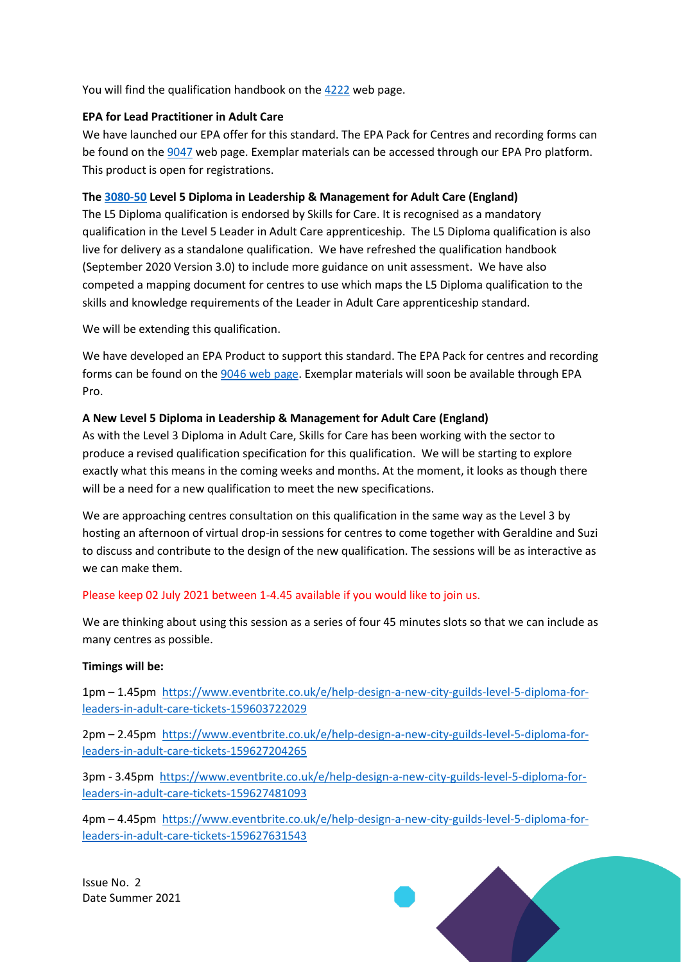You will find the qualification handbook on th[e 4222](https://www.cityandguilds.com/qualifications-and-apprenticeships/health-and-social-care/care/4222-health-and-social-care#tab=documents) web page.

### **EPA for Lead Practitioner in Adult Care**

We have launched our EPA offer for this standard. The EPA Pack for Centres and recording forms can be found on the [9047](https://www.cityandguilds.com/qualifications-and-apprenticeships/health-and-social-care/care/9047-lead-practitioner-in-adult-care#tab=documents) web page. Exemplar materials can be accessed through our EPA Pro platform. This product is open for registrations.

### **The [3080-50](https://www.cityandguilds.com/qualifications-and-apprenticeships/health-and-social-care/management-in-health-and-social-care/3080-level-5-diploma-in-leadership-and-management-for-adult-care) Level 5 Diploma in Leadership & Management for Adult Care (England)**

The L5 Diploma qualification is endorsed by Skills for Care. It is recognised as a mandatory qualification in the Level 5 Leader in Adult Care apprenticeship. The L5 Diploma qualification is also live for delivery as a standalone qualification. We have refreshed the qualification handbook (September 2020 Version 3.0) to include more guidance on unit assessment. We have also competed a mapping document for centres to use which maps the L5 Diploma qualification to the skills and knowledge requirements of the Leader in Adult Care apprenticeship standard.

We will be extending this qualification.

We have developed an EPA Product to support this standard. The EPA Pack for centres and recording forms can be found on the [9046 web page.](https://cityandguilds.sharepoint.com/sites/HealthCareandChildcareCommunicationHub/Shared%20Documents/Centre%20newsletter/Summer%202021/December%20Newsletter%202020V1.docx) Exemplar materials will soon be available through EPA Pro.

#### **A New Level 5 Diploma in Leadership & Management for Adult Care (England)**

As with the Level 3 Diploma in Adult Care, Skills for Care has been working with the sector to produce a revised qualification specification for this qualification. We will be starting to explore exactly what this means in the coming weeks and months. At the moment, it looks as though there will be a need for a new qualification to meet the new specifications.

We are approaching centres consultation on this qualification in the same way as the Level 3 by hosting an afternoon of virtual drop-in sessions for centres to come together with Geraldine and Suzi to discuss and contribute to the design of the new qualification. The sessions will be as interactive as we can make them.

#### Please keep 02 July 2021 between 1-4.45 available if you would like to join us.

We are thinking about using this session as a series of four 45 minutes slots so that we can include as many centres as possible.

#### **Timings will be:**

1pm – 1.45pm [https://www.eventbrite.co.uk/e/help-design-a-new-city-guilds-level-5-diploma-for](https://www.eventbrite.co.uk/e/help-design-a-new-city-guilds-level-5-diploma-for-leaders-in-adult-care-tickets-159603722029)[leaders-in-adult-care-tickets-159603722029](https://www.eventbrite.co.uk/e/help-design-a-new-city-guilds-level-5-diploma-for-leaders-in-adult-care-tickets-159603722029)

2pm – 2.45pm [https://www.eventbrite.co.uk/e/help-design-a-new-city-guilds-level-5-diploma-for](https://www.eventbrite.co.uk/e/help-design-a-new-city-guilds-level-5-diploma-for-leaders-in-adult-care-tickets-159627204265)[leaders-in-adult-care-tickets-159627204265](https://www.eventbrite.co.uk/e/help-design-a-new-city-guilds-level-5-diploma-for-leaders-in-adult-care-tickets-159627204265)

3pm - 3.45pm [https://www.eventbrite.co.uk/e/help-design-a-new-city-guilds-level-5-diploma-for](https://www.eventbrite.co.uk/e/help-design-a-new-city-guilds-level-5-diploma-for-leaders-in-adult-care-tickets-159627481093)[leaders-in-adult-care-tickets-159627481093](https://www.eventbrite.co.uk/e/help-design-a-new-city-guilds-level-5-diploma-for-leaders-in-adult-care-tickets-159627481093)

4pm – 4.45pm [https://www.eventbrite.co.uk/e/help-design-a-new-city-guilds-level-5-diploma-for](https://www.eventbrite.co.uk/e/help-design-a-new-city-guilds-level-5-diploma-for-leaders-in-adult-care-tickets-159627631543)[leaders-in-adult-care-tickets-159627631543](https://www.eventbrite.co.uk/e/help-design-a-new-city-guilds-level-5-diploma-for-leaders-in-adult-care-tickets-159627631543)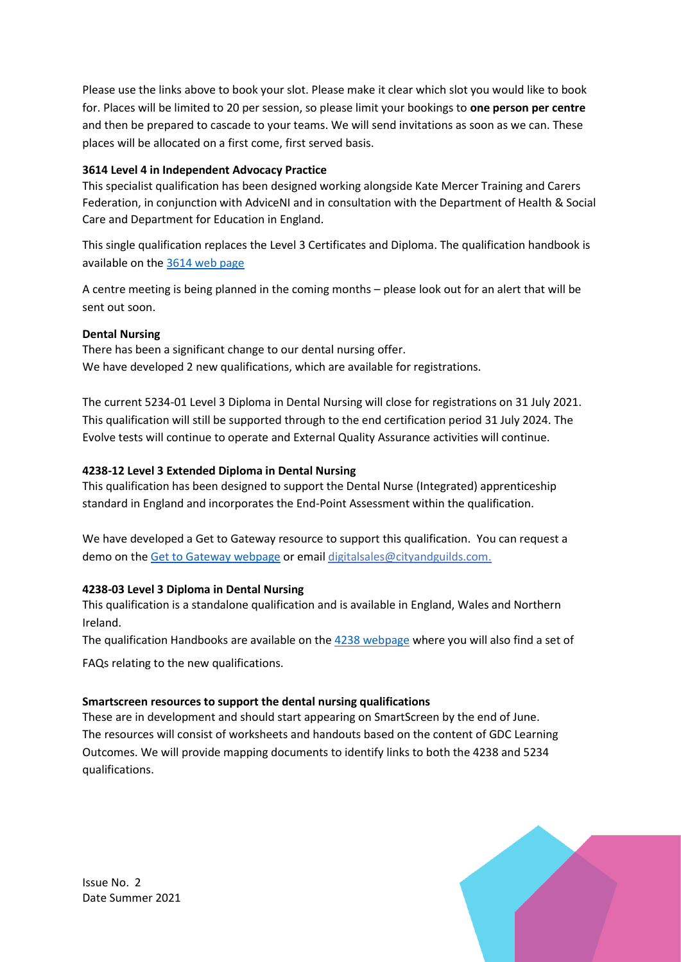Please use the links above to book your slot. Please make it clear which slot you would like to book for. Places will be limited to 20 per session, so please limit your bookings to **one person per centre** and then be prepared to cascade to your teams. We will send invitations as soon as we can. These places will be allocated on a first come, first served basis.

## **3614 Level 4 in Independent Advocacy Practice**

This specialist qualification has been designed working alongside Kate Mercer Training and Carers Federation, in conjunction with AdviceNI and in consultation with the Department of Health & Social Care and Department for Education in England.

This single qualification replaces the Level 3 Certificates and Diploma. The qualification handbook is available on th[e 3614 web page](https://www.cityandguilds.com/qualifications-and-apprenticeships/health-and-social-care/care/3614-independent-advocacy-practice#tab=documents)

A centre meeting is being planned in the coming months – please look out for an alert that will be sent out soon.

## **Dental Nursing**

There has been a significant change to our dental nursing offer. We have developed 2 new qualifications, which are available for registrations.

The current 5234-01 Level 3 Diploma in Dental Nursing will close for registrations on 31 July 2021. This qualification will still be supported through to the end certification period 31 July 2024. The Evolve tests will continue to operate and External Quality Assurance activities will continue.

## **4238-12 Level 3 Extended Diploma in Dental Nursing**

This qualification has been designed to support the Dental Nurse (Integrated) apprenticeship standard in England and incorporates the End-Point Assessment within the qualification.

We have developed a Get to Gateway resource to support this qualification. You can request a demo on the [Get to Gateway webpage](https://www.cityandguilds.com/apprenticeships/get-to-gateway) or email [digitalsales@cityandguilds.com.](mailto:digitalsales@cityandguilds.com)

## **4238-03 Level 3 Diploma in Dental Nursing**

This qualification is a standalone qualification and is available in England, Wales and Northern Ireland.

The qualification Handbooks are available on th[e 4238 webpage](https://www.cityandguilds.com/qualifications-and-apprenticeships/health-and-social-care/dental-nursing/4238-dental-nursing#tab=documents) where you will also find a set of

FAQs relating to the new qualifications.

## **Smartscreen resources to support the dental nursing qualifications**

These are in development and should start appearing on SmartScreen by the end of June. The resources will consist of worksheets and handouts based on the content of GDC Learning Outcomes. We will provide mapping documents to identify links to both the 4238 and 5234 qualifications.

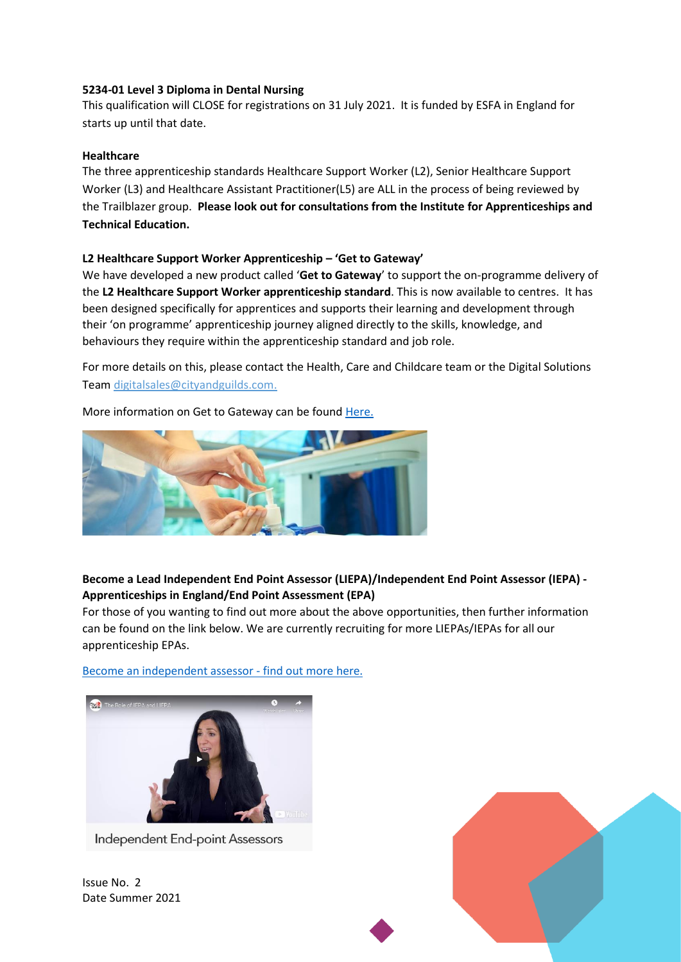#### **5234-01 Level 3 Diploma in Dental Nursing**

This qualification will CLOSE for registrations on 31 July 2021. It is funded by ESFA in England for starts up until that date.

#### **Healthcare**

The three apprenticeship standards Healthcare Support Worker (L2), Senior Healthcare Support Worker (L3) and Healthcare Assistant Practitioner(L5) are ALL in the process of being reviewed by the Trailblazer group. **Please look out for consultations from the Institute for Apprenticeships and Technical Education.**

#### **L2 Healthcare Support Worker Apprenticeship – 'Get to Gateway'**

We have developed a new product called '**Get to Gateway**' to support the on-programme delivery of the **L2 Healthcare Support Worker apprenticeship standard**. This is now available to centres. It has been designed specifically for apprentices and supports their learning and development through their 'on programme' apprenticeship journey aligned directly to the skills, knowledge, and behaviours they require within the apprenticeship standard and job role.

For more details on this, please contact the Health, Care and Childcare team or the Digital Solutions Team [digitalsales@cityandguilds.com.](mailto:digitalsales@cityandguilds.com)

More information on Get to Gateway can be found [Here.](https://www.cityandguilds.com/apprenticeships/get-to-gateway)



## **Become a Lead Independent End Point Assessor (LIEPA)/Independent End Point Assessor (IEPA) - Apprenticeships in England/End Point Assessment (EPA)**

For those of you wanting to find out more about the above opportunities, then further information can be found on the link below. We are currently recruiting for more LIEPAs/IEPAs for all our apprenticeship EPAs.

[Become an independent assessor -](https://www.cityandguilds.com/apprenticeships/emerging-standards/independent-end-assessor) find out more here.



Independent End-point Assessors

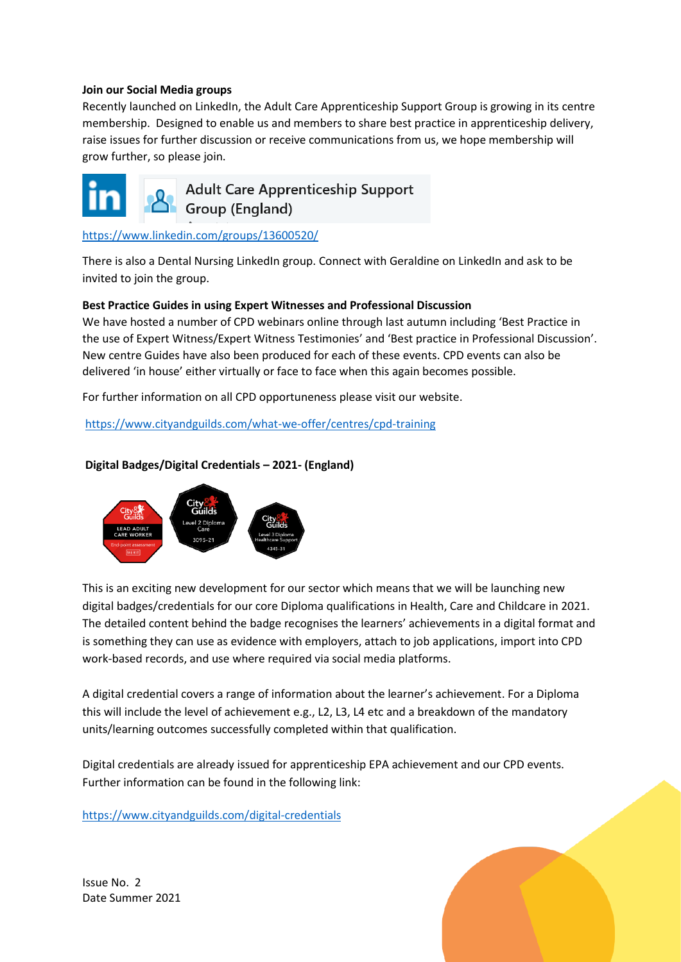#### **Join our Social Media groups**

Recently launched on LinkedIn, the Adult Care Apprenticeship Support Group is growing in its centre membership. Designed to enable us and members to share best practice in apprenticeship delivery, raise issues for further discussion or receive communications from us, we hope membership will grow further, so please join.



**Adult Care Apprenticeship Support** Group (England)

<https://www.linkedin.com/groups/13600520/>

There is also a Dental Nursing LinkedIn group. Connect with Geraldine on LinkedIn and ask to be invited to join the group.

#### **Best Practice Guides in using Expert Witnesses and Professional Discussion**

We have hosted a number of CPD webinars online through last autumn including 'Best Practice in the use of Expert Witness/Expert Witness Testimonies' and 'Best practice in Professional Discussion'. New centre Guides have also been produced for each of these events. CPD events can also be delivered 'in house' either virtually or face to face when this again becomes possible.

For further information on all CPD opportuneness please visit our website.

<https://www.cityandguilds.com/what-we-offer/centres/cpd-training>

## **Digital Badges/Digital Credentials – 2021- (England)**



This is an exciting new development for our sector which means that we will be launching new digital badges/credentials for our core Diploma qualifications in Health, Care and Childcare in 2021. The detailed content behind the badge recognises the learners' achievements in a digital format and is something they can use as evidence with employers, attach to job applications, import into CPD work-based records, and use where required via social media platforms.

A digital credential covers a range of information about the learner's achievement. For a Diploma this will include the level of achievement e.g., L2, L3, L4 etc and a breakdown of the mandatory units/learning outcomes successfully completed within that qualification.

Digital credentials are already issued for apprenticeship EPA achievement and our CPD events. Further information can be found in the following link:

<https://www.cityandguilds.com/digital-credentials>